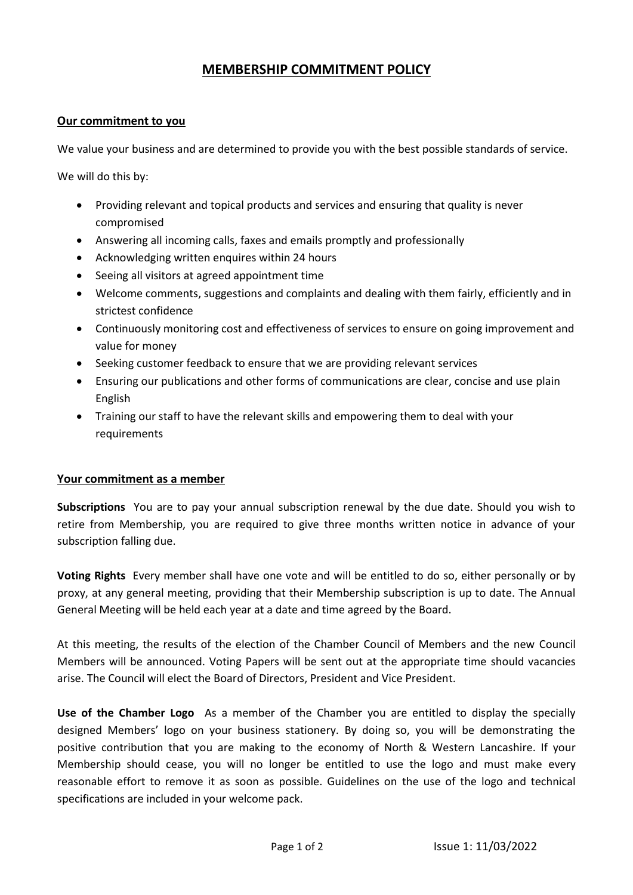# **MEMBERSHIP COMMITMENT POLICY**

## **Our commitment to you**

We value your business and are determined to provide you with the best possible standards of service.

We will do this by:

- Providing relevant and topical products and services and ensuring that quality is never compromised
- Answering all incoming calls, faxes and emails promptly and professionally
- Acknowledging written enquires within 24 hours
- Seeing all visitors at agreed appointment time
- Welcome comments, suggestions and complaints and dealing with them fairly, efficiently and in strictest confidence
- Continuously monitoring cost and effectiveness of services to ensure on going improvement and value for money
- Seeking customer feedback to ensure that we are providing relevant services
- Ensuring our publications and other forms of communications are clear, concise and use plain English
- Training our staff to have the relevant skills and empowering them to deal with your requirements

### **Your commitment as a member**

**Subscriptions** You are to pay your annual subscription renewal by the due date. Should you wish to retire from Membership, you are required to give three months written notice in advance of your subscription falling due.

**Voting Rights** Every member shall have one vote and will be entitled to do so, either personally or by proxy, at any general meeting, providing that their Membership subscription is up to date. The Annual General Meeting will be held each year at a date and time agreed by the Board.

At this meeting, the results of the election of the Chamber Council of Members and the new Council Members will be announced. Voting Papers will be sent out at the appropriate time should vacancies arise. The Council will elect the Board of Directors, President and Vice President.

**Use of the Chamber Logo** As a member of the Chamber you are entitled to display the specially designed Members' logo on your business stationery. By doing so, you will be demonstrating the positive contribution that you are making to the economy of North & Western Lancashire. If your Membership should cease, you will no longer be entitled to use the logo and must make every reasonable effort to remove it as soon as possible. Guidelines on the use of the logo and technical specifications are included in your welcome pack.